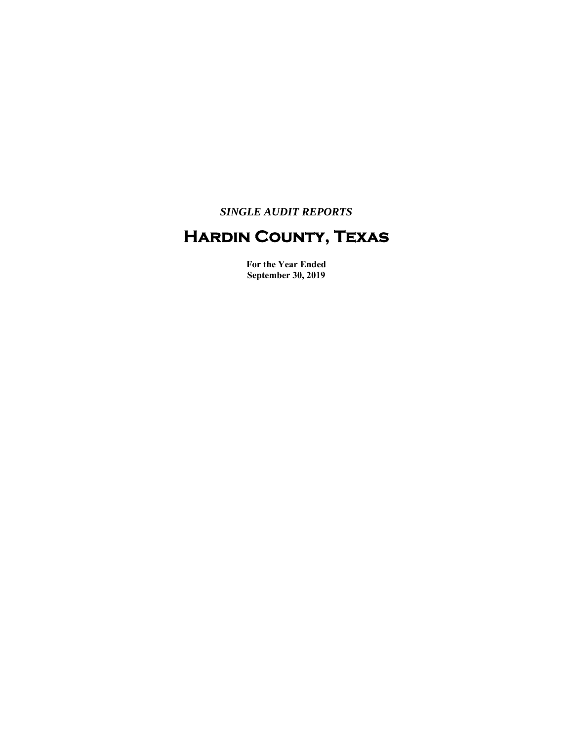*SINGLE AUDIT REPORTS* 

# **Hardin County, Texas**

**For the Year Ended September 30, 2019**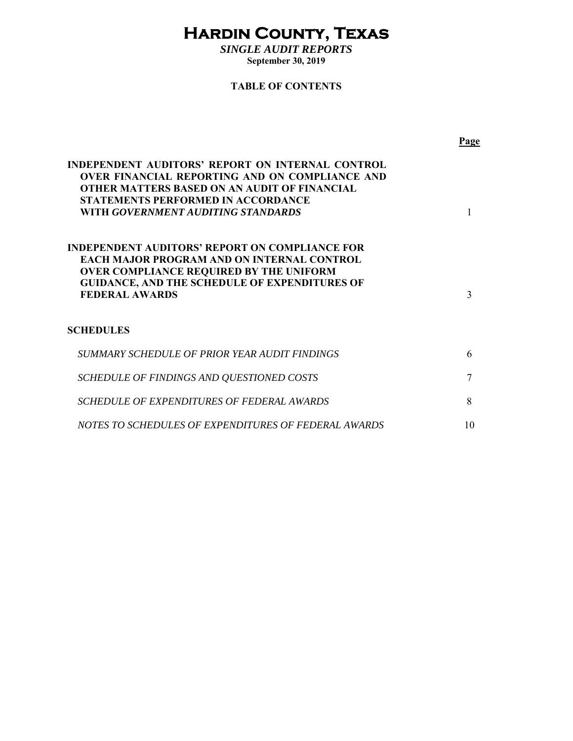## **Hardin County, Texas**

*SINGLE AUDIT REPORTS*  **September 30, 2019** 

## **TABLE OF CONTENTS**

|                                                                                                                                                                                                                                              | Page |
|----------------------------------------------------------------------------------------------------------------------------------------------------------------------------------------------------------------------------------------------|------|
| INDEPENDENT AUDITORS' REPORT ON INTERNAL CONTROL<br><b>OVER FINANCIAL REPORTING AND ON COMPLIANCE AND</b><br>OTHER MATTERS BASED ON AN AUDIT OF FINANCIAL<br><b>STATEMENTS PERFORMED IN ACCORDANCE</b><br>WITH GOVERNMENT AUDITING STANDARDS |      |
| INDEPENDENT AUDITORS' REPORT ON COMPLIANCE FOR<br><b>EACH MAJOR PROGRAM AND ON INTERNAL CONTROL</b><br><b>OVER COMPLIANCE REQUIRED BY THE UNIFORM</b><br><b>GUIDANCE, AND THE SCHEDULE OF EXPENDITURES OF</b><br><b>FEDERAL AWARDS</b>       | 3    |
| SCHEDULES                                                                                                                                                                                                                                    |      |
| SUMMARY SCHEDULE OF PRIOR YEAR AUDIT FINDINGS                                                                                                                                                                                                | 6    |
| SCHEDULE OF FINDINGS AND QUESTIONED COSTS                                                                                                                                                                                                    | 7    |
| SCHEDULE OF EXPENDITURES OF FEDERAL AWARDS                                                                                                                                                                                                   | 8    |
| NOTES TO SCHEDULES OF EXPENDITURES OF FEDERAL AWARDS                                                                                                                                                                                         | 10   |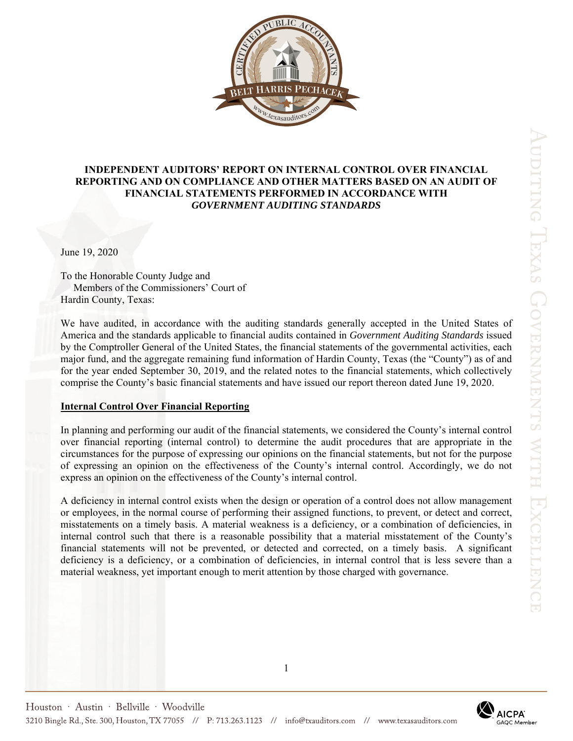

## **INDEPENDENT AUDITORS' REPORT ON INTERNAL CONTROL OVER FINANCIAL REPORTING AND ON COMPLIANCE AND OTHER MATTERS BASED ON AN AUDIT OF FINANCIAL STATEMENTS PERFORMED IN ACCORDANCE WITH**  *GOVERNMENT AUDITING STANDARDS*

June 19, 2020

To the Honorable County Judge and Members of the Commissioners' Court of Hardin County, Texas:

We have audited, in accordance with the auditing standards generally accepted in the United States of America and the standards applicable to financial audits contained in *Government Auditing Standards* issued by the Comptroller General of the United States, the financial statements of the governmental activities, each major fund, and the aggregate remaining fund information of Hardin County, Texas (the "County") as of and for the year ended September 30, 2019, and the related notes to the financial statements, which collectively comprise the County's basic financial statements and have issued our report thereon dated June 19, 2020.

## **Internal Control Over Financial Reporting**

In planning and performing our audit of the financial statements, we considered the County's internal control over financial reporting (internal control) to determine the audit procedures that are appropriate in the circumstances for the purpose of expressing our opinions on the financial statements, but not for the purpose of expressing an opinion on the effectiveness of the County's internal control. Accordingly, we do not express an opinion on the effectiveness of the County's internal control.

A deficiency in internal control exists when the design or operation of a control does not allow management or employees, in the normal course of performing their assigned functions, to prevent, or detect and correct, misstatements on a timely basis. A material weakness is a deficiency, or a combination of deficiencies, in internal control such that there is a reasonable possibility that a material misstatement of the County's financial statements will not be prevented, or detected and corrected, on a timely basis. A significant deficiency is a deficiency, or a combination of deficiencies, in internal control that is less severe than a material weakness, yet important enough to merit attention by those charged with governance.



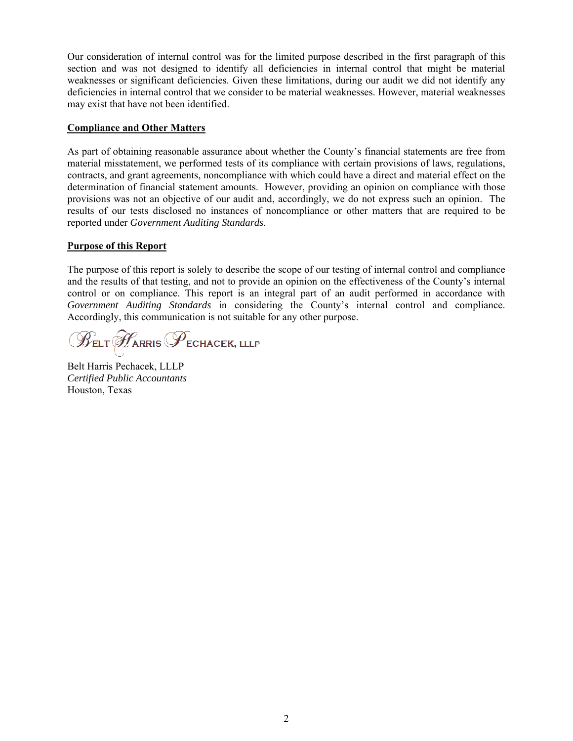Our consideration of internal control was for the limited purpose described in the first paragraph of this section and was not designed to identify all deficiencies in internal control that might be material weaknesses or significant deficiencies. Given these limitations, during our audit we did not identify any deficiencies in internal control that we consider to be material weaknesses. However, material weaknesses may exist that have not been identified.

## **Compliance and Other Matters**

As part of obtaining reasonable assurance about whether the County's financial statements are free from material misstatement, we performed tests of its compliance with certain provisions of laws, regulations, contracts, and grant agreements, noncompliance with which could have a direct and material effect on the determination of financial statement amounts. However, providing an opinion on compliance with those provisions was not an objective of our audit and, accordingly, we do not express such an opinion. The results of our tests disclosed no instances of noncompliance or other matters that are required to be reported under *Government Auditing Standards*.

## **Purpose of this Report**

The purpose of this report is solely to describe the scope of our testing of internal control and compliance and the results of that testing, and not to provide an opinion on the effectiveness of the County's internal control or on compliance. This report is an integral part of an audit performed in accordance with *Government Auditing Standards* in considering the County's internal control and compliance. Accordingly, this communication is not suitable for any other purpose.

 $\mathscr{B}_{\texttt{ELT}}\mathscr{B}_{\texttt{ARRIS}}$   $\mathscr{P}_{\texttt{ECHACEK, LLLP}}$ 

Belt Harris Pechacek, LLLP *Certified Public Accountants*  Houston, Texas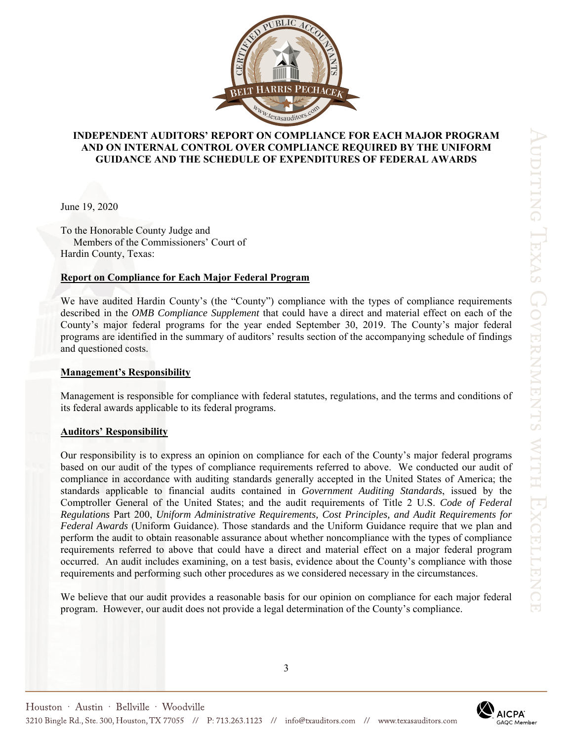

## **INDEPENDENT AUDITORS' REPORT ON COMPLIANCE FOR EACH MAJOR PROGRAM AND ON INTERNAL CONTROL OVER COMPLIANCE REQUIRED BY THE UNIFORM GUIDANCE AND THE SCHEDULE OF EXPENDITURES OF FEDERAL AWARDS**

June 19, 2020

To the Honorable County Judge and Members of the Commissioners' Court of Hardin County, Texas:

## **Report on Compliance for Each Major Federal Program**

We have audited Hardin County's (the "County") compliance with the types of compliance requirements described in the *OMB Compliance Supplement* that could have a direct and material effect on each of the County's major federal programs for the year ended September 30, 2019. The County's major federal programs are identified in the summary of auditors' results section of the accompanying schedule of findings and questioned costs.

#### **Management's Responsibility**

Management is responsible for compliance with federal statutes, regulations, and the terms and conditions of its federal awards applicable to its federal programs.

## **Auditors' Responsibility**

Our responsibility is to express an opinion on compliance for each of the County's major federal programs based on our audit of the types of compliance requirements referred to above. We conducted our audit of compliance in accordance with auditing standards generally accepted in the United States of America; the standards applicable to financial audits contained in *Government Auditing Standards*, issued by the Comptroller General of the United States; and the audit requirements of Title 2 U.S. *Code of Federal Regulations* Part 200, *Uniform Administrative Requirements, Cost Principles, and Audit Requirements for Federal Awards* (Uniform Guidance). Those standards and the Uniform Guidance require that we plan and perform the audit to obtain reasonable assurance about whether noncompliance with the types of compliance requirements referred to above that could have a direct and material effect on a major federal program occurred. An audit includes examining, on a test basis, evidence about the County's compliance with those requirements and performing such other procedures as we considered necessary in the circumstances.

We believe that our audit provides a reasonable basis for our opinion on compliance for each major federal program. However, our audit does not provide a legal determination of the County's compliance.



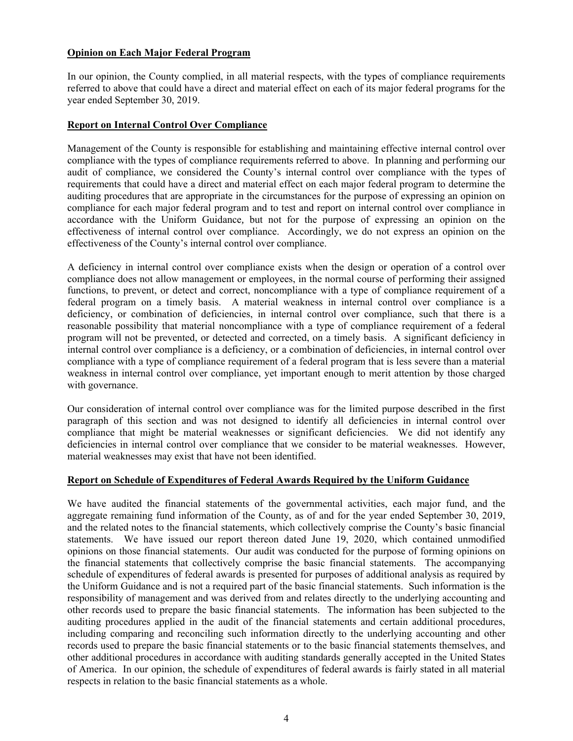## **Opinion on Each Major Federal Program**

In our opinion, the County complied, in all material respects, with the types of compliance requirements referred to above that could have a direct and material effect on each of its major federal programs for the year ended September 30, 2019.

#### **Report on Internal Control Over Compliance**

Management of the County is responsible for establishing and maintaining effective internal control over compliance with the types of compliance requirements referred to above. In planning and performing our audit of compliance, we considered the County's internal control over compliance with the types of requirements that could have a direct and material effect on each major federal program to determine the auditing procedures that are appropriate in the circumstances for the purpose of expressing an opinion on compliance for each major federal program and to test and report on internal control over compliance in accordance with the Uniform Guidance*,* but not for the purpose of expressing an opinion on the effectiveness of internal control over compliance. Accordingly, we do not express an opinion on the effectiveness of the County's internal control over compliance.

A deficiency in internal control over compliance exists when the design or operation of a control over compliance does not allow management or employees, in the normal course of performing their assigned functions, to prevent, or detect and correct, noncompliance with a type of compliance requirement of a federal program on a timely basis. A material weakness in internal control over compliance is a deficiency, or combination of deficiencies, in internal control over compliance, such that there is a reasonable possibility that material noncompliance with a type of compliance requirement of a federal program will not be prevented, or detected and corrected, on a timely basis. A significant deficiency in internal control over compliance is a deficiency, or a combination of deficiencies, in internal control over compliance with a type of compliance requirement of a federal program that is less severe than a material weakness in internal control over compliance, yet important enough to merit attention by those charged with governance.

Our consideration of internal control over compliance was for the limited purpose described in the first paragraph of this section and was not designed to identify all deficiencies in internal control over compliance that might be material weaknesses or significant deficiencies. We did not identify any deficiencies in internal control over compliance that we consider to be material weaknesses. However, material weaknesses may exist that have not been identified.

## **Report on Schedule of Expenditures of Federal Awards Required by the Uniform Guidance**

We have audited the financial statements of the governmental activities, each major fund, and the aggregate remaining fund information of the County, as of and for the year ended September 30, 2019, and the related notes to the financial statements, which collectively comprise the County's basic financial statements. We have issued our report thereon dated June 19, 2020, which contained unmodified opinions on those financial statements. Our audit was conducted for the purpose of forming opinions on the financial statements that collectively comprise the basic financial statements. The accompanying schedule of expenditures of federal awards is presented for purposes of additional analysis as required by the Uniform Guidance and is not a required part of the basic financial statements. Such information is the responsibility of management and was derived from and relates directly to the underlying accounting and other records used to prepare the basic financial statements. The information has been subjected to the auditing procedures applied in the audit of the financial statements and certain additional procedures, including comparing and reconciling such information directly to the underlying accounting and other records used to prepare the basic financial statements or to the basic financial statements themselves, and other additional procedures in accordance with auditing standards generally accepted in the United States of America. In our opinion, the schedule of expenditures of federal awards is fairly stated in all material respects in relation to the basic financial statements as a whole.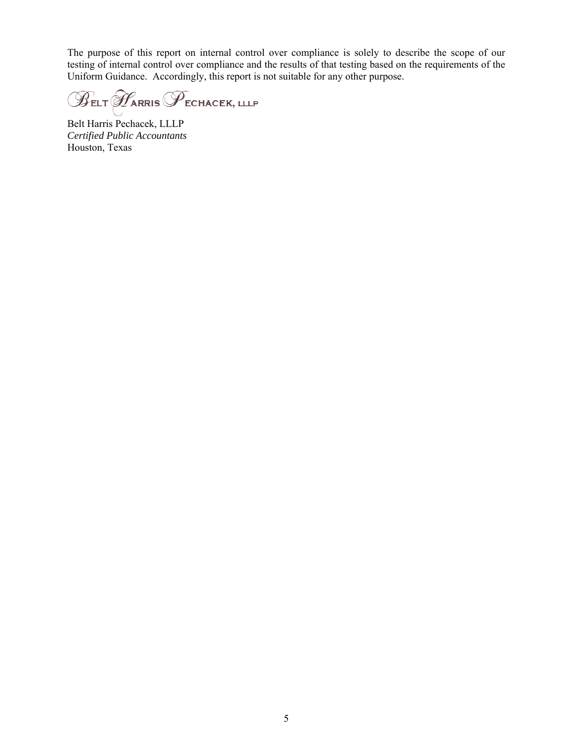The purpose of this report on internal control over compliance is solely to describe the scope of our testing of internal control over compliance and the results of that testing based on the requirements of the Uniform Guidance. Accordingly, this report is not suitable for any other purpose.

 $\mathscr{B}_{\texttt{ELT}} \mathscr{F}_{\texttt{ARRIS}} \mathscr{F}_{\texttt{ECHACEK, LLLP}}$ 

Belt Harris Pechacek, LLLP *Certified Public Accountants*  Houston, Texas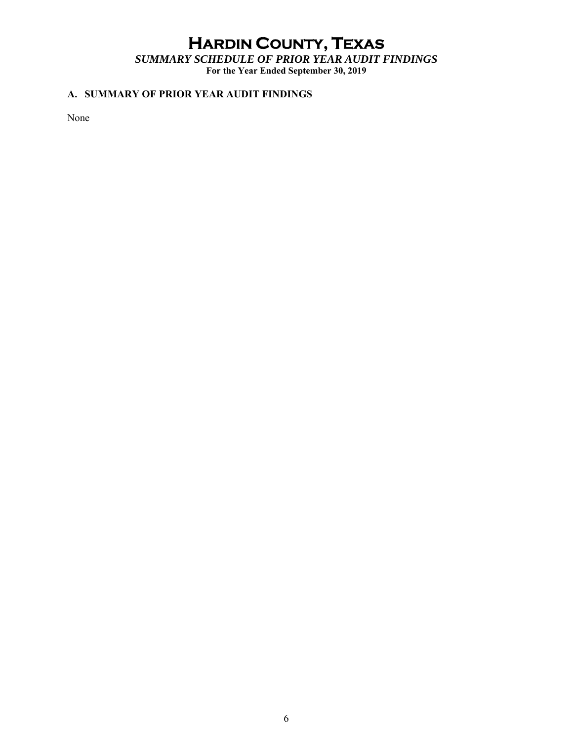## **HARDIN COUNTY, TEXAS**

*SUMMARY SCHEDULE OF PRIOR YEAR AUDIT FINDINGS*  **For the Year Ended September 30, 2019** 

## **A. SUMMARY OF PRIOR YEAR AUDIT FINDINGS**

None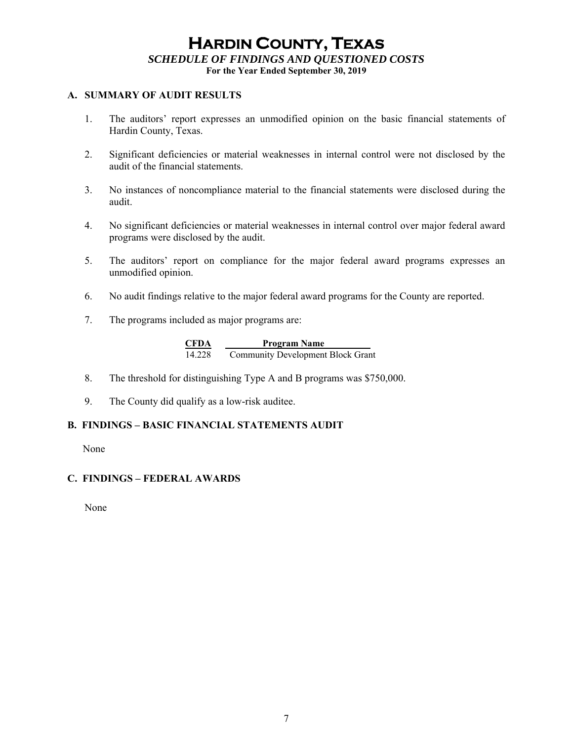## **HARDIN COUNTY, TEXAS** *SCHEDULE OF FINDINGS AND QUESTIONED COSTS*  **For the Year Ended September 30, 2019**

## **A. SUMMARY OF AUDIT RESULTS**

- 1. The auditors' report expresses an unmodified opinion on the basic financial statements of Hardin County, Texas.
- 2. Significant deficiencies or material weaknesses in internal control were not disclosed by the audit of the financial statements.
- 3. No instances of noncompliance material to the financial statements were disclosed during the audit.
- 4. No significant deficiencies or material weaknesses in internal control over major federal award programs were disclosed by the audit.
- 5. The auditors' report on compliance for the major federal award programs expresses an unmodified opinion.
- 6. No audit findings relative to the major federal award programs for the County are reported.
- 7. The programs included as major programs are:

 **CFDA Program Name**  14.228 Community Development Block Grant

- 8. The threshold for distinguishing Type A and B programs was \$750,000.
- 9. The County did qualify as a low-risk auditee.

## **B. FINDINGS – BASIC FINANCIAL STATEMENTS AUDIT**

None

## **C. FINDINGS – FEDERAL AWARDS**

None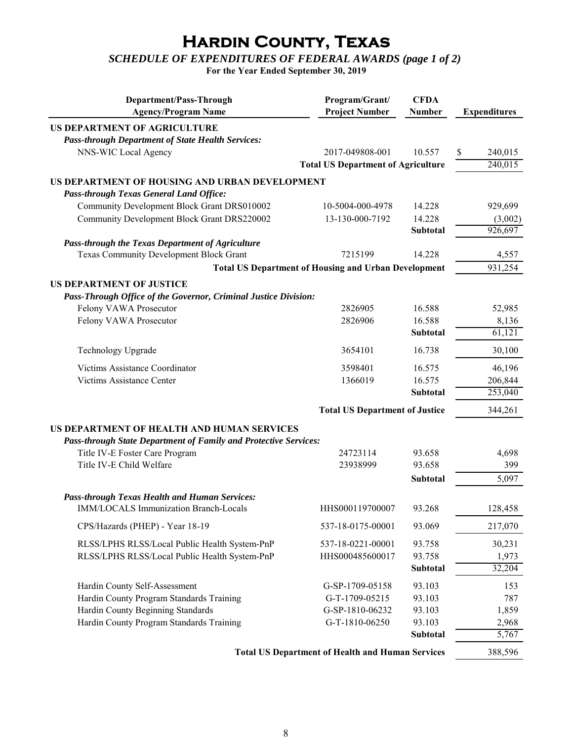## **Hardin County, Texas**

## *SCHEDULE OF EXPENDITURES OF FEDERAL AWARDS (page 1 of 2)*

**For the Year Ended September 30, 2019**

| Department/Pass-Through<br><b>Agency/Program Name</b>                     | Program/Grant/<br><b>Project Number</b>                     | <b>CFDA</b><br><b>Number</b> | <b>Expenditures</b> |
|---------------------------------------------------------------------------|-------------------------------------------------------------|------------------------------|---------------------|
| US DEPARTMENT OF AGRICULTURE                                              |                                                             |                              |                     |
| <b>Pass-through Department of State Health Services:</b>                  |                                                             |                              |                     |
| NNS-WIC Local Agency                                                      | 2017-049808-001                                             | 10.557                       | \$<br>240,015       |
|                                                                           | <b>Total US Department of Agriculture</b>                   |                              | 240,015             |
| US DEPARTMENT OF HOUSING AND URBAN DEVELOPMENT                            |                                                             |                              |                     |
| <b>Pass-through Texas General Land Office:</b>                            |                                                             |                              |                     |
| Community Development Block Grant DRS010002                               | 10-5004-000-4978                                            | 14.228                       | 929,699             |
| Community Development Block Grant DRS220002                               | 13-130-000-7192                                             | 14.228                       | (3,002)             |
|                                                                           |                                                             | Subtotal                     | 926,697             |
| Pass-through the Texas Department of Agriculture                          |                                                             |                              |                     |
| Texas Community Development Block Grant                                   | 7215199                                                     | 14.228                       | 4,557               |
|                                                                           | <b>Total US Department of Housing and Urban Development</b> |                              | 931,254             |
| <b>US DEPARTMENT OF JUSTICE</b>                                           |                                                             |                              |                     |
| Pass-Through Office of the Governor, Criminal Justice Division:           |                                                             |                              |                     |
| Felony VAWA Prosecutor                                                    | 2826905                                                     | 16.588                       | 52,985              |
| Felony VAWA Prosecutor                                                    | 2826906                                                     | 16.588                       | 8,136               |
|                                                                           |                                                             | <b>Subtotal</b>              | 61,121              |
| Technology Upgrade                                                        | 3654101                                                     | 16.738                       | 30,100              |
| Victims Assistance Coordinator                                            | 3598401                                                     | 16.575                       | 46,196              |
| Victims Assistance Center                                                 | 1366019                                                     | 16.575                       | 206,844             |
|                                                                           |                                                             | Subtotal                     | 253,040             |
|                                                                           | <b>Total US Department of Justice</b>                       |                              | 344,261             |
| US DEPARTMENT OF HEALTH AND HUMAN SERVICES                                |                                                             |                              |                     |
| Pass-through State Department of Family and Protective Services:          |                                                             |                              |                     |
| Title IV-E Foster Care Program                                            | 24723114                                                    | 93.658                       | 4,698               |
| Title IV-E Child Welfare                                                  | 23938999                                                    | 93.658                       | 399                 |
|                                                                           |                                                             | <b>Subtotal</b>              | 5,097               |
| <b>Pass-through Texas Health and Human Services:</b>                      |                                                             |                              |                     |
| IMM/LOCALS Immunization Branch-Locals                                     | HHS000119700007                                             | 93.268                       | 128,458             |
| CPS/Hazards (PHEP) - Year 18-19                                           | 537-18-0175-00001                                           | 93.069                       | 217,070             |
| RLSS/LPHS RLSS/Local Public Health System-PnP                             | 537-18-0221-00001                                           | 93.758                       | 30,231              |
| RLSS/LPHS RLSS/Local Public Health System-PnP                             | HHS000485600017                                             | 93.758                       | 1,973               |
|                                                                           |                                                             | Subtotal                     | 32,204              |
|                                                                           |                                                             |                              |                     |
| Hardin County Self-Assessment<br>Hardin County Program Standards Training | G-SP-1709-05158<br>G-T-1709-05215                           | 93.103<br>93.103             | 153                 |
| Hardin County Beginning Standards                                         | G-SP-1810-06232                                             | 93.103                       | 787<br>1,859        |
| Hardin County Program Standards Training                                  | G-T-1810-06250                                              | 93.103                       | 2,968               |
|                                                                           |                                                             | Subtotal                     | 5,767               |
|                                                                           |                                                             |                              |                     |
|                                                                           | <b>Total US Department of Health and Human Services</b>     |                              | 388,596             |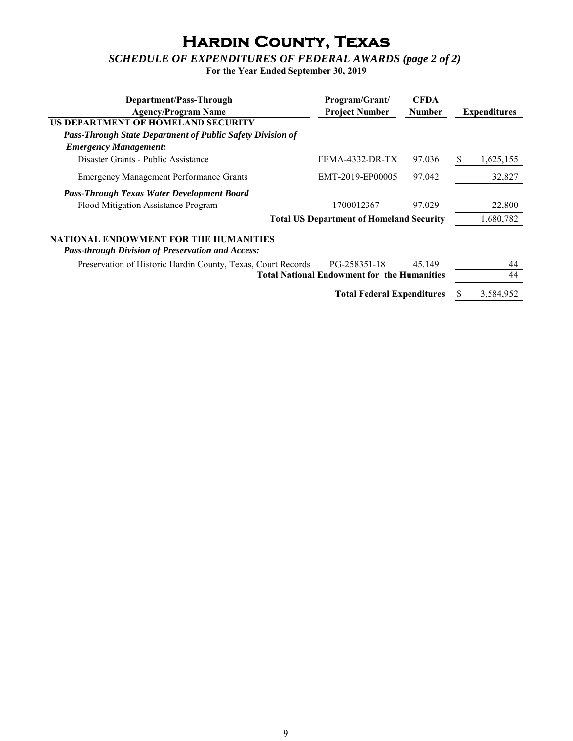## **Hardin County, Texas**

## *SCHEDULE OF EXPENDITURES OF FEDERAL AWARDS (page 2 of 2)*

**For the Year Ended September 30, 2019**

| Department/Pass-Through<br><b>Agency/Program Name</b>             | Program/Grant/<br><b>Project Number</b>         | <b>CFDA</b><br><b>Number</b> | <b>Expenditures</b> |           |
|-------------------------------------------------------------------|-------------------------------------------------|------------------------------|---------------------|-----------|
| US DEPARTMENT OF HOMELAND SECURITY                                |                                                 |                              |                     |           |
| <b>Pass-Through State Department of Public Safety Division of</b> |                                                 |                              |                     |           |
| <b>Emergency Management:</b>                                      |                                                 |                              |                     |           |
| Disaster Grants - Public Assistance                               | $FEMA-4332-DR-TX$                               | 97.036                       | S.                  | 1,625,155 |
| <b>Emergency Management Performance Grants</b>                    | EMT-2019-EP00005                                | 97.042                       |                     | 32,827    |
| Pass-Through Texas Water Development Board                        |                                                 |                              |                     |           |
| Flood Mitigation Assistance Program                               | 1700012367                                      | 97.029                       |                     | 22,800    |
|                                                                   | <b>Total US Department of Homeland Security</b> |                              |                     | 1,680,782 |
| NATIONAL ENDOWMENT FOR THE HUMANITIES                             |                                                 |                              |                     |           |
| <b>Pass-through Division of Preservation and Access:</b>          |                                                 |                              |                     |           |
| Preservation of Historic Hardin County, Texas, Court Records      | PG-258351-18                                    | 45.149                       |                     | 44        |
| <b>Total National Endowment for the Humanities</b>                |                                                 |                              |                     | 44        |
| <b>Total Federal Expenditures</b>                                 |                                                 |                              |                     | 3,584,952 |